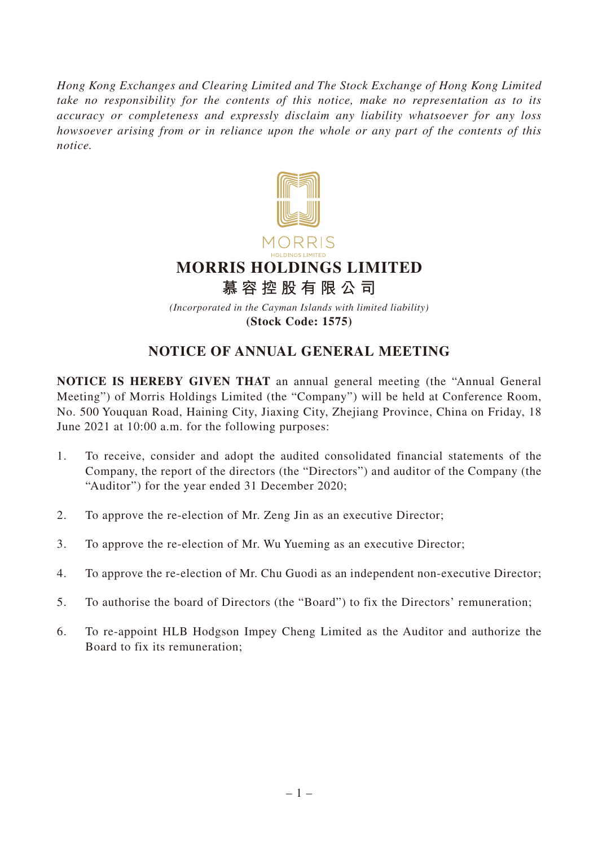*Hong Kong Exchanges and Clearing Limited and The Stock Exchange of Hong Kong Limited take no responsibility for the contents of this notice, make no representation as to its accuracy or completeness and expressly disclaim any liability whatsoever for any loss howsoever arising from or in reliance upon the whole or any part of the contents of this notice.*



## **NOTICE OF ANNUAL GENERAL MEETING**

**NOTICE IS HEREBY GIVEN THAT** an annual general meeting (the "Annual General Meeting") of Morris Holdings Limited (the "Company") will be held at Conference Room, No. 500 Youquan Road, Haining City, Jiaxing City, Zhejiang Province, China on Friday, 18 June 2021 at 10:00 a.m. for the following purposes:

- 1. To receive, consider and adopt the audited consolidated financial statements of the Company, the report of the directors (the "Directors") and auditor of the Company (the "Auditor") for the year ended 31 December 2020;
- 2. To approve the re-election of Mr. Zeng Jin as an executive Director;
- 3. To approve the re-election of Mr. Wu Yueming as an executive Director;
- 4. To approve the re-election of Mr. Chu Guodi as an independent non-executive Director;
- 5. To authorise the board of Directors (the "Board") to fix the Directors' remuneration;
- 6. To re-appoint HLB Hodgson Impey Cheng Limited as the Auditor and authorize the Board to fix its remuneration;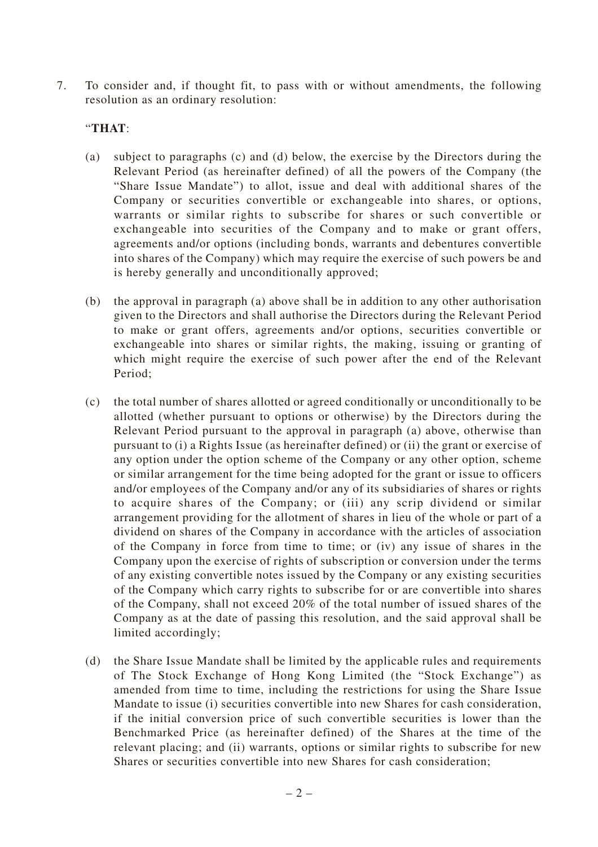7. To consider and, if thought fit, to pass with or without amendments, the following resolution as an ordinary resolution:

## "**THAT**:

- (a) subject to paragraphs (c) and (d) below, the exercise by the Directors during the Relevant Period (as hereinafter defined) of all the powers of the Company (the "Share Issue Mandate") to allot, issue and deal with additional shares of the Company or securities convertible or exchangeable into shares, or options, warrants or similar rights to subscribe for shares or such convertible or exchangeable into securities of the Company and to make or grant offers, agreements and/or options (including bonds, warrants and debentures convertible into shares of the Company) which may require the exercise of such powers be and is hereby generally and unconditionally approved;
- (b) the approval in paragraph (a) above shall be in addition to any other authorisation given to the Directors and shall authorise the Directors during the Relevant Period to make or grant offers, agreements and/or options, securities convertible or exchangeable into shares or similar rights, the making, issuing or granting of which might require the exercise of such power after the end of the Relevant Period;
- (c) the total number of shares allotted or agreed conditionally or unconditionally to be allotted (whether pursuant to options or otherwise) by the Directors during the Relevant Period pursuant to the approval in paragraph (a) above, otherwise than pursuant to (i) a Rights Issue (as hereinafter defined) or (ii) the grant or exercise of any option under the option scheme of the Company or any other option, scheme or similar arrangement for the time being adopted for the grant or issue to officers and/or employees of the Company and/or any of its subsidiaries of shares or rights to acquire shares of the Company; or (iii) any scrip dividend or similar arrangement providing for the allotment of shares in lieu of the whole or part of a dividend on shares of the Company in accordance with the articles of association of the Company in force from time to time; or (iv) any issue of shares in the Company upon the exercise of rights of subscription or conversion under the terms of any existing convertible notes issued by the Company or any existing securities of the Company which carry rights to subscribe for or are convertible into shares of the Company, shall not exceed 20% of the total number of issued shares of the Company as at the date of passing this resolution, and the said approval shall be limited accordingly;
- (d) the Share Issue Mandate shall be limited by the applicable rules and requirements of The Stock Exchange of Hong Kong Limited (the "Stock Exchange") as amended from time to time, including the restrictions for using the Share Issue Mandate to issue (i) securities convertible into new Shares for cash consideration, if the initial conversion price of such convertible securities is lower than the Benchmarked Price (as hereinafter defined) of the Shares at the time of the relevant placing; and (ii) warrants, options or similar rights to subscribe for new Shares or securities convertible into new Shares for cash consideration;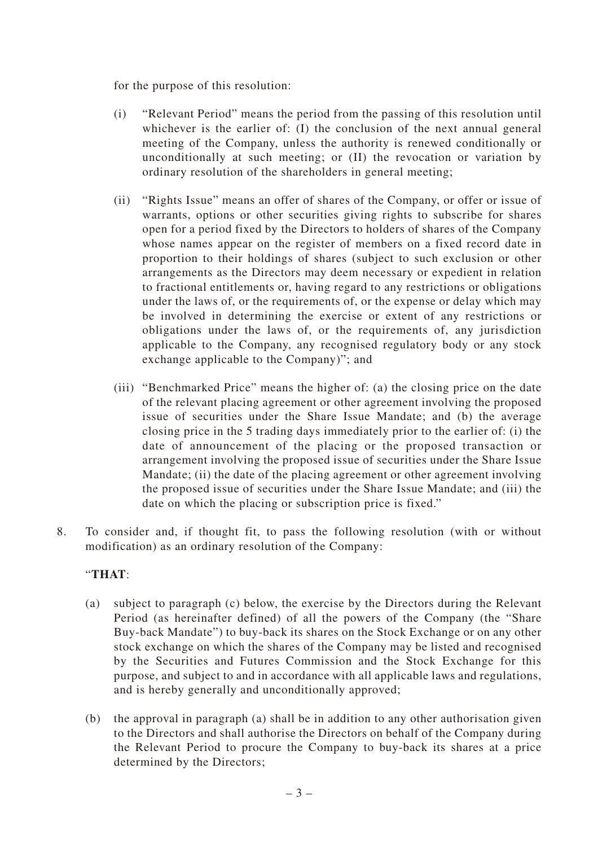for the purpose of this resolution:

- (i) "Relevant Period" means the period from the passing of this resolution until whichever is the earlier of: (I) the conclusion of the next annual general meeting of the Company, unless the authority is renewed conditionally or unconditionally at such meeting; or (II) the revocation or variation by ordinary resolution of the shareholders in general meeting;
- (ii) "Rights Issue" means an offer of shares of the Company, or offer or issue of warrants, options or other securities giving rights to subscribe for shares open for a period fixed by the Directors to holders of shares of the Company whose names appear on the register of members on a fixed record date in proportion to their holdings of shares (subject to such exclusion or other arrangements as the Directors may deem necessary or expedient in relation to fractional entitlements or, having regard to any restrictions or obligations under the laws of, or the requirements of, or the expense or delay which may be involved in determining the exercise or extent of any restrictions or obligations under the laws of, or the requirements of, any jurisdiction applicable to the Company, any recognised regulatory body or any stock exchange applicable to the Company)"; and
- (iii) "Benchmarked Price" means the higher of: (a) the closing price on the date of the relevant placing agreement or other agreement involving the proposed issue of securities under the Share Issue Mandate; and (b) the average closing price in the 5 trading days immediately prior to the earlier of: (i) the date of announcement of the placing or the proposed transaction or arrangement involving the proposed issue of securities under the Share Issue Mandate; (ii) the date of the placing agreement or other agreement involving the proposed issue of securities under the Share Issue Mandate; and (iii) the date on which the placing or subscription price is fixed."
- 8. To consider and, if thought fit, to pass the following resolution (with or without modification) as an ordinary resolution of the Company:

## "**THAT**:

- (a) subject to paragraph (c) below, the exercise by the Directors during the Relevant Period (as hereinafter defined) of all the powers of the Company (the "Share Buy-back Mandate") to buy-back its shares on the Stock Exchange or on any other stock exchange on which the shares of the Company may be listed and recognised by the Securities and Futures Commission and the Stock Exchange for this purpose, and subject to and in accordance with all applicable laws and regulations, and is hereby generally and unconditionally approved;
- (b) the approval in paragraph (a) shall be in addition to any other authorisation given to the Directors and shall authorise the Directors on behalf of the Company during the Relevant Period to procure the Company to buy-back its shares at a price determined by the Directors;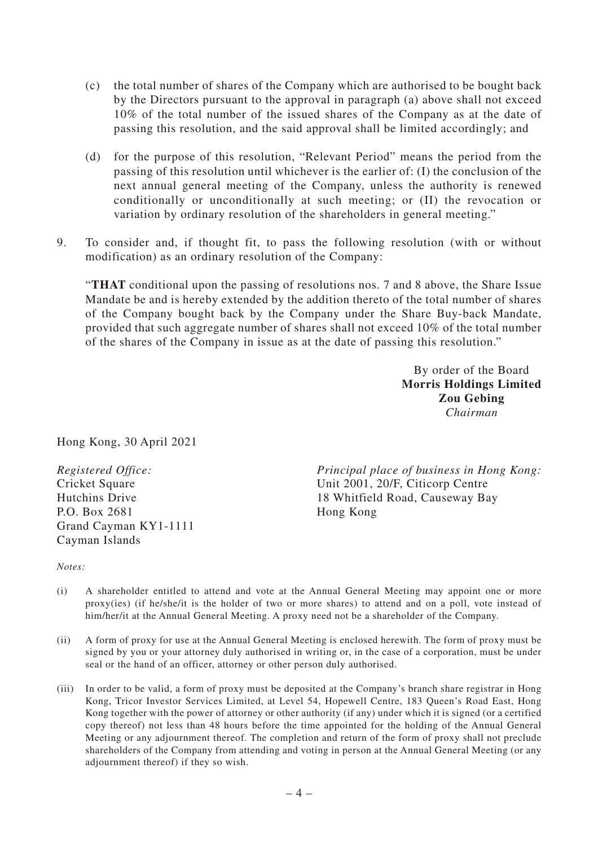- (c) the total number of shares of the Company which are authorised to be bought back by the Directors pursuant to the approval in paragraph (a) above shall not exceed 10% of the total number of the issued shares of the Company as at the date of passing this resolution, and the said approval shall be limited accordingly; and
- (d) for the purpose of this resolution, "Relevant Period" means the period from the passing of this resolution until whichever is the earlier of: (I) the conclusion of the next annual general meeting of the Company, unless the authority is renewed conditionally or unconditionally at such meeting; or (II) the revocation or variation by ordinary resolution of the shareholders in general meeting."
- 9. To consider and, if thought fit, to pass the following resolution (with or without modification) as an ordinary resolution of the Company:

"**THAT** conditional upon the passing of resolutions nos. 7 and 8 above, the Share Issue Mandate be and is hereby extended by the addition thereto of the total number of shares of the Company bought back by the Company under the Share Buy-back Mandate, provided that such aggregate number of shares shall not exceed 10% of the total number of the shares of the Company in issue as at the date of passing this resolution."

> By order of the Board **Morris Holdings Limited Zou Gebing** *Chairman*

Hong Kong, 30 April 2021

*Registered Office:* Cricket Square Hutchins Drive P.O. Box 2681 Grand Cayman KY1-1111 Cayman Islands

*Principal place of business in Hong Kong:* Unit 2001, 20/F, Citicorp Centre 18 Whitfield Road, Causeway Bay Hong Kong

*Notes:*

- (i) A shareholder entitled to attend and vote at the Annual General Meeting may appoint one or more proxy(ies) (if he/she/it is the holder of two or more shares) to attend and on a poll, vote instead of him/her/it at the Annual General Meeting. A proxy need not be a shareholder of the Company.
- (ii) A form of proxy for use at the Annual General Meeting is enclosed herewith. The form of proxy must be signed by you or your attorney duly authorised in writing or, in the case of a corporation, must be under seal or the hand of an officer, attorney or other person duly authorised.
- (iii) In order to be valid, a form of proxy must be deposited at the Company's branch share registrar in Hong Kong, Tricor Investor Services Limited, at Level 54, Hopewell Centre, 183 Queen's Road East, Hong Kong together with the power of attorney or other authority (if any) under which it is signed (or a certified copy thereof) not less than 48 hours before the time appointed for the holding of the Annual General Meeting or any adjournment thereof. The completion and return of the form of proxy shall not preclude shareholders of the Company from attending and voting in person at the Annual General Meeting (or any adjournment thereof) if they so wish.